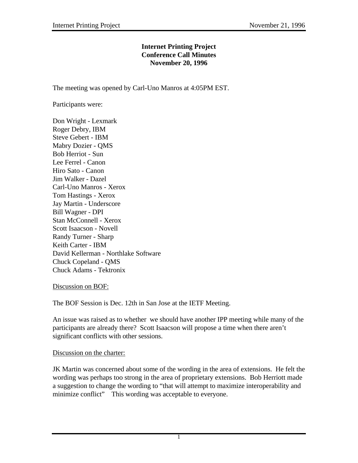## **Internet Printing Project Conference Call Minutes November 20, 1996**

The meeting was opened by Carl-Uno Manros at 4:05PM EST.

Participants were:

Don Wright - Lexmark Roger Debry, IBM Steve Gebert - IBM Mabry Dozier - QMS Bob Herriot - Sun Lee Ferrel - Canon Hiro Sato - Canon Jim Walker - Dazel Carl-Uno Manros - Xerox Tom Hastings - Xerox Jay Martin - Underscore Bill Wagner - DPI Stan McConnell - Xerox Scott Isaacson - Novell Randy Turner - Sharp Keith Carter - IBM David Kellerman - Northlake Software Chuck Copeland - QMS Chuck Adams - Tektronix

### Discussion on BOF:

The BOF Session is Dec. 12th in San Jose at the IETF Meeting.

An issue was raised as to whether we should have another IPP meeting while many of the participants are already there? Scott Isaacson will propose a time when there aren't significant conflicts with other sessions.

# Discussion on the charter:

JK Martin was concerned about some of the wording in the area of extensions. He felt the wording was perhaps too strong in the area of proprietary extensions. Bob Herriott made a suggestion to change the wording to "that will attempt to maximize interoperability and minimize conflict" This wording was acceptable to everyone.

1